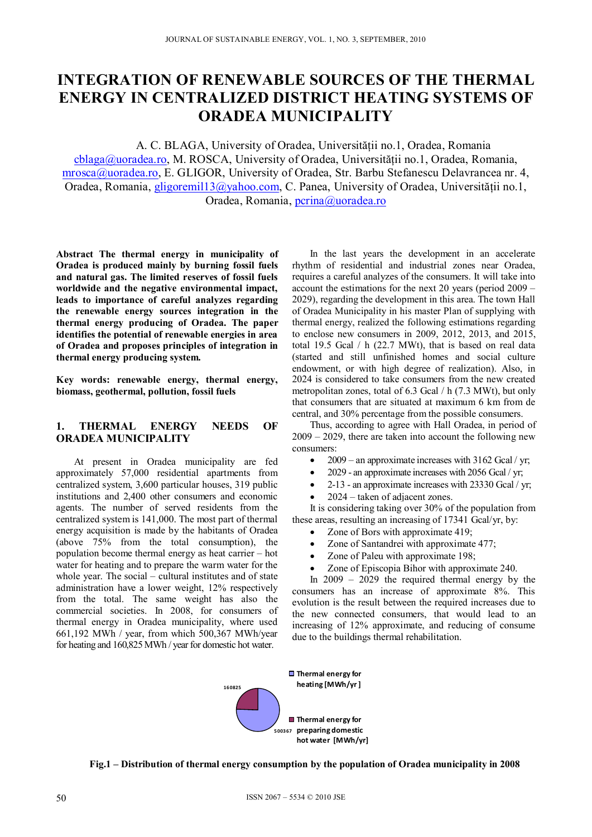# **INTEGRATION OF RENEWABLE SOURCES OF THE THERMAL ENERGY IN CENTRALIZED DISTRICT HEATING SYSTEMS OF ORADEA MUNICIPALITY**

A. C. BLAGA, University of Oradea, Universităţii no.1, Oradea, Romania  $cblaga@uora dea-ro, M. ROSCA, University of Oradea, University.$ 

mrosca@uoradea.ro, E. GLIGOR, University of Oradea, Str. Barbu Stefanescu Delavrancea nr. 4, Oradea, Romania, gligoremil13@yahoo.com, C. Panea, University of Oradea, Universității no.1, Oradea, Romania, pcrina@uoradea.ro

**Abstract The thermal energy in municipality of Oradea is produced mainly by burning fossil fuels and natural gas. The limited reserves of fossil fuels worldwide and the negative environmental impact, leads to importance of careful analyzes regarding the renewable energy sources integration in the thermal energy producing of Oradea. The paper identifies the potential of renewable energies in area of Oradea and proposes principles of integration in thermal energy producing system.** 

**Key words: renewable energy, thermal energy, biomass, geothermal, pollution, fossil fuels** 

## **1. THERMAL ENERGY NEEDS OF ORADEA MUNICIPALITY**

At present in Oradea municipality are fed approximately 57,000 residential apartments from centralized system, 3,600 particular houses, 319 public institutions and 2,400 other consumers and economic agents. The number of served residents from the centralized system is 141,000. The most part of thermal energy acquisition is made by the habitants of Oradea (above 75% from the total consumption), the population become thermal energy as heat carrier – hot water for heating and to prepare the warm water for the whole year. The social – cultural institutes and of state administration have a lower weight, 12% respectively from the total. The same weight has also the commercial societies. In 2008, for consumers of thermal energy in Oradea municipality, where used 661,192 MWh / year, from which 500,367 MWh/year for heating and 160,825 MWh / year for domestic hot water.

In the last years the development in an accelerate rhythm of residential and industrial zones near Oradea, requires a careful analyzes of the consumers. It will take into account the estimations for the next 20 years (period 2009 – 2029), regarding the development in this area. The town Hall of Oradea Municipality in his master Plan of supplying with thermal energy, realized the following estimations regarding to enclose new consumers in 2009, 2012, 2013, and 2015, total 19.5 Gcal / h (22.7 MWt), that is based on real data (started and still unfinished homes and social culture endowment, or with high degree of realization). Also, in 2024 is considered to take consumers from the new created metropolitan zones, total of 6.3 Gcal / h (7.3 MWt), but only that consumers that are situated at maximum 6 km from de central, and 30% percentage from the possible consumers.

Thus, according to agree with Hall Oradea, in period of 2009 – 2029, there are taken into account the following new consumers:

- 2009 an approximate increases with  $3162$  Gcal / yr;
- 2029 an approximate increases with 2056 Gcal / yr;
- $\bullet$  2-13 an approximate increases with 23330 Gcal / yr;
- 2024 taken of adjacent zones.

It is considering taking over 30% of the population from these areas, resulting an increasing of 17341 Gcal/yr, by:

- Zone of Bors with approximate 419;
- Zone of Santandrei with approximate 477;
- Zone of Paleu with approximate 198;
- Zone of Episcopia Bihor with approximate 240.

In 2009 – 2029 the required thermal energy by the consumers has an increase of approximate 8%. This evolution is the result between the required increases due to the new connected consumers, that would lead to an increasing of 12% approximate, and reducing of consume due to the buildings thermal rehabilitation.



**Fig.1 – Distribution of thermal energy consumption by the population of Oradea municipality in 2008**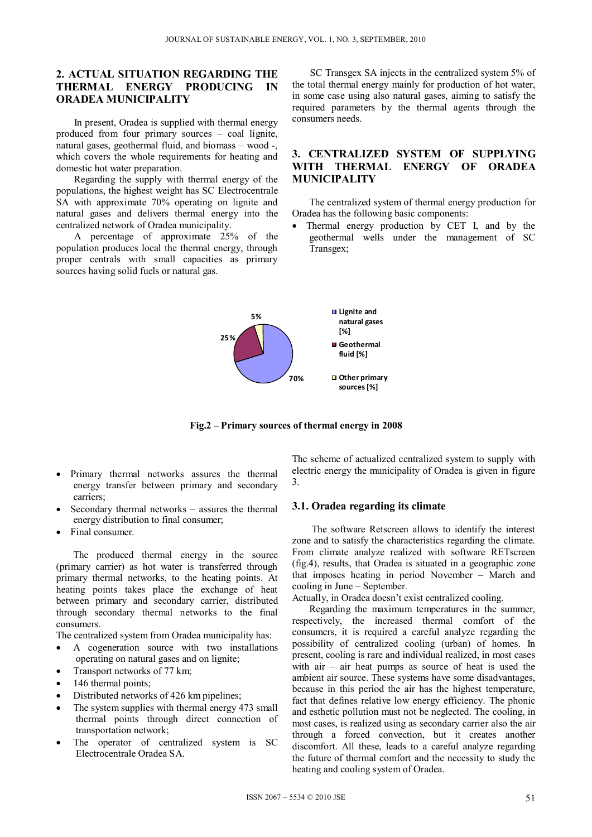## **2. ACTUAL SITUATION REGARDING THE THERMAL ENERGY PRODUCING IN ORADEA MUNICIPALITY**

In present, Oradea is supplied with thermal energy produced from four primary sources – coal lignite, natural gases, geothermal fluid, and biomass – wood -, which covers the whole requirements for heating and domestic hot water preparation.

Regarding the supply with thermal energy of the populations, the highest weight has SC Electrocentrale SA with approximate 70% operating on lignite and natural gases and delivers thermal energy into the centralized network of Oradea municipality.

A percentage of approximate 25% of the population produces local the thermal energy, through proper centrals with small capacities as primary sources having solid fuels or natural gas.

SC Transgex SA injects in the centralized system 5% of the total thermal energy mainly for production of hot water, in some case using also natural gases, aiming to satisfy the required parameters by the thermal agents through the consumers needs.

## **3. CENTRALIZED SYSTEM OF SUPPLYING WITH THERMAL ENERGY OF ORADEA MUNICIPALITY**

The centralized system of thermal energy production for Oradea has the following basic components:

 Thermal energy production by CET I, and by the geothermal wells under the management of SC Transgex;



**Fig.2 – Primary sources of thermal energy in 2008** 

- Primary thermal networks assures the thermal energy transfer between primary and secondary carriers;
- Secondary thermal networks assures the thermal energy distribution to final consumer;
- Final consumer.

The produced thermal energy in the source (primary carrier) as hot water is transferred through primary thermal networks, to the heating points. At heating points takes place the exchange of heat between primary and secondary carrier, distributed through secondary thermal networks to the final consumers.

The centralized system from Oradea municipality has:

- A cogeneration source with two installations operating on natural gases and on lignite;
- Transport networks of 77 km;
- 146 thermal points;
- Distributed networks of 426 km pipelines;
- The system supplies with thermal energy 473 small thermal points through direct connection of transportation network;
- The operator of centralized system is SC Electrocentrale Oradea SA.

The scheme of actualized centralized system to supply with electric energy the municipality of Oradea is given in figure 3.

## **3.1. Oradea regarding its climate**

The software Retscreen allows to identify the interest zone and to satisfy the characteristics regarding the climate. From climate analyze realized with software RETscreen (fig.4), results, that Oradea is situated in a geographic zone that imposes heating in period November – March and cooling in June – September.

Actually, in Oradea doesn't exist centralized cooling.

Regarding the maximum temperatures in the summer, respectively, the increased thermal comfort of the consumers, it is required a careful analyze regarding the possibility of centralized cooling (urban) of homes. In present, cooling is rare and individual realized, in most cases with  $air - air$  heat pumps as source of heat is used the ambient air source. These systems have some disadvantages, because in this period the air has the highest temperature, fact that defines relative low energy efficiency. The phonic and esthetic pollution must not be neglected. The cooling, in most cases, is realized using as secondary carrier also the air through a forced convection, but it creates another discomfort. All these, leads to a careful analyze regarding the future of thermal comfort and the necessity to study the heating and cooling system of Oradea.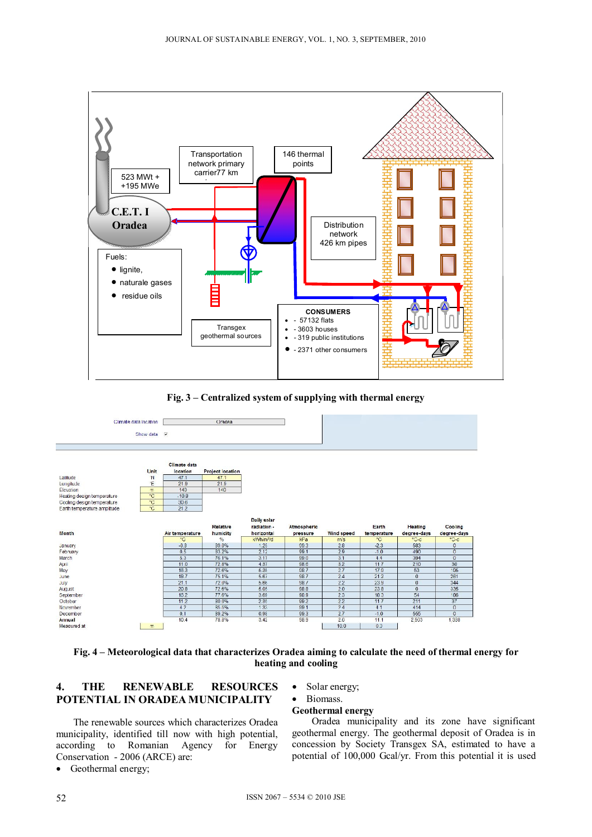

**Fig. 3 – Centralized system of supplying with thermal energy** 



**Fig. 4 – Meteorological data that characterizes Oradea aiming to calculate the need of thermal energy for heating and cooling** 

## **4. THE RENEWABLE RESOURCES POTENTIAL IN ORADEA MUNICIPALITY**

The renewable sources which characterizes Oradea municipality, identified till now with high potential, according to Romanian Agency for Energy Conservation - 2006 (ARCE) are:

• Geothermal energy;

• Solar energy;

#### • Biomass. **Geothermal energy**

Oradea municipality and its zone have significant geothermal energy. The geothermal deposit of Oradea is in concession by Society Transgex SA, estimated to have a potential of 100,000 Gcal/yr. From this potential it is used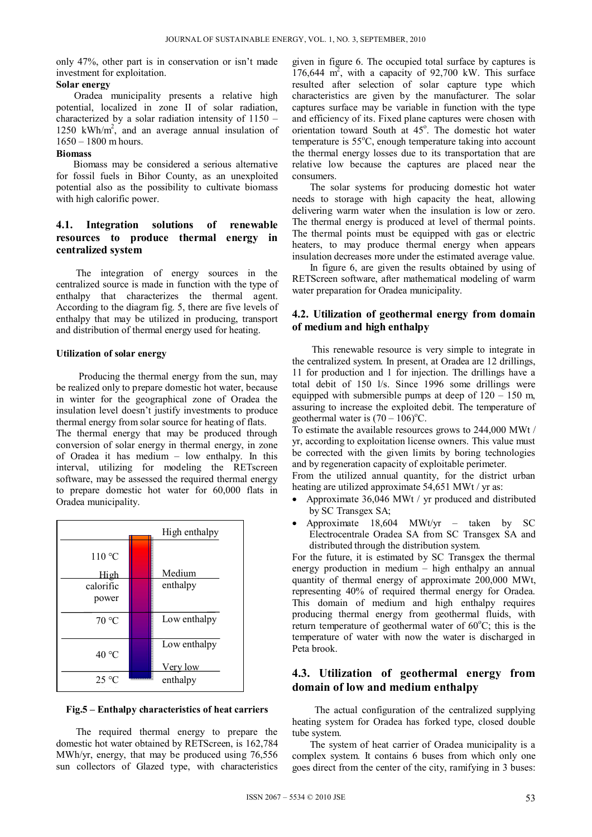only 47%, other part is in conservation or isn't made investment for exploitation.

### **Solar energy**

Oradea municipality presents a relative high potential, localized in zone II of solar radiation, characterized by a solar radiation intensity of 1150 – 1250 kWh/m2 , and an average annual insulation of  $1650 - 1800$  m hours.

#### **Biomass**

Biomass may be considered a serious alternative for fossil fuels in Bihor County, as an unexploited potential also as the possibility to cultivate biomass with high calorific power.

# **4.1. Integration solutions of renewable resources to produce thermal energy in centralized system**

The integration of energy sources in the centralized source is made in function with the type of enthalpy that characterizes the thermal agent. According to the diagram fig. 5, there are five levels of enthalpy that may be utilized in producing, transport and distribution of thermal energy used for heating.

### **Utilization of solar energy**

Producing the thermal energy from the sun, may be realized only to prepare domestic hot water, because in winter for the geographical zone of Oradea the insulation level doesn't justify investments to produce thermal energy from solar source for heating of flats.

The thermal energy that may be produced through conversion of solar energy in thermal energy, in zone of Oradea it has medium – low enthalpy. In this interval, utilizing for modeling the RETscreen software, may be assessed the required thermal energy to prepare domestic hot water for 60,000 flats in Oradea municipality.

| High enthalpy  |  |                 |  |  |
|----------------|--|-----------------|--|--|
| 110 °C         |  |                 |  |  |
| High           |  | Medium          |  |  |
| calorific      |  | enthalpy        |  |  |
| power          |  |                 |  |  |
| 70 °C          |  | Low enthalpy    |  |  |
| 40 °C          |  | Low enthalpy    |  |  |
|                |  | <u>Very low</u> |  |  |
| $25^{\circ}$ C |  | enthalpy        |  |  |

### **Fig.5 – Enthalpy characteristics of heat carriers**

The required thermal energy to prepare the domestic hot water obtained by RETScreen, is 162,784 MWh/yr, energy, that may be produced using 76,556 sun collectors of Glazed type, with characteristics given in figure 6. The occupied total surface by captures is  $176,644$  m<sup>2</sup>, with a capacity of  $92,700$  kW. This surface resulted after selection of solar capture type which characteristics are given by the manufacturer. The solar captures surface may be variable in function with the type and efficiency of its. Fixed plane captures were chosen with orientation toward South at 45°. The domestic hot water temperature is 55°C, enough temperature taking into account the thermal energy losses due to its transportation that are relative low because the captures are placed near the consumers.

The solar systems for producing domestic hot water needs to storage with high capacity the heat, allowing delivering warm water when the insulation is low or zero. The thermal energy is produced at level of thermal points. The thermal points must be equipped with gas or electric heaters, to may produce thermal energy when appears insulation decreases more under the estimated average value.

In figure 6, are given the results obtained by using of RETScreen software, after mathematical modeling of warm water preparation for Oradea municipality.

## **4.2. Utilization of geothermal energy from domain of medium and high enthalpy**

This renewable resource is very simple to integrate in the centralized system. In present, at Oradea are 12 drillings, 11 for production and 1 for injection. The drillings have a total debit of 150 l/s. Since 1996 some drillings were equipped with submersible pumps at deep of  $120 - 150$  m, assuring to increase the exploited debit. The temperature of geothermal water is  $(70 - 106)$ <sup>o</sup>C.

To estimate the available resources grows to 244,000 MWt / yr, according to exploitation license owners. This value must be corrected with the given limits by boring technologies and by regeneration capacity of exploitable perimeter.

From the utilized annual quantity, for the district urban heating are utilized approximate 54,651 MWt / yr as:

- Approximate 36,046 MWt / yr produced and distributed by SC Transgex SA;
- Approximate 18,604 MWt/yr taken by SC Electrocentrale Oradea SA from SC Transgex SA and distributed through the distribution system.

For the future, it is estimated by SC Transgex the thermal energy production in medium – high enthalpy an annual quantity of thermal energy of approximate 200,000 MWt, representing 40% of required thermal energy for Oradea. This domain of medium and high enthalpy requires producing thermal energy from geothermal fluids, with return temperature of geothermal water of 60°C; this is the temperature of water with now the water is discharged in Peta brook.

# **4.3. Utilization of geothermal energy from domain of low and medium enthalpy**

The actual configuration of the centralized supplying heating system for Oradea has forked type, closed double tube system.

The system of heat carrier of Oradea municipality is a complex system. It contains 6 buses from which only one goes direct from the center of the city, ramifying in 3 buses: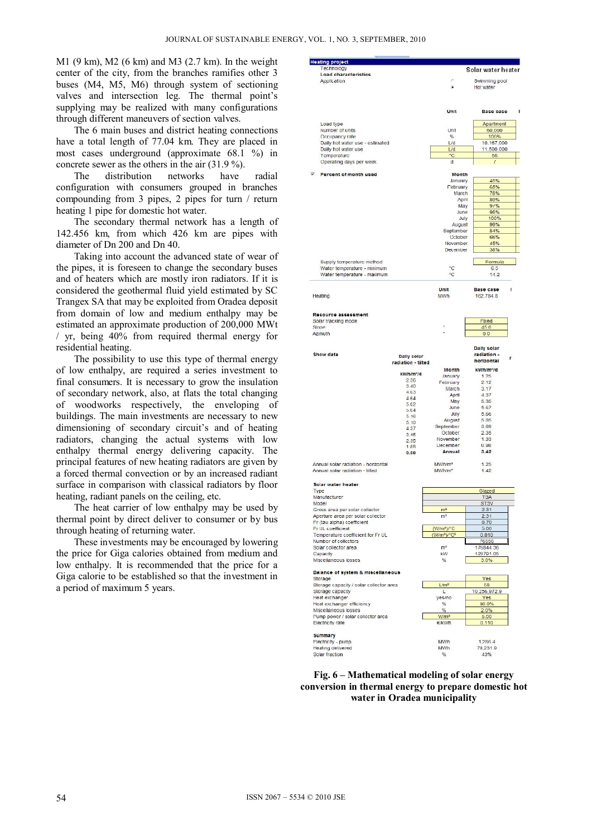M1 (9 km), M2 (6 km) and M3 (2.7 km). In the weight center of the city, from the branches ramifies other 3 buses (M4, M5, M6) through system of sectioning valves and intersection leg. The thermal point's supplying may be realized with many configurations through different maneuvers of section valves.

The 6 main buses and district heating connections have a total length of 77.04 km. They are placed in most cases underground (approximate 68.1 %) in concrete sewer as the others in the air (31.9 %).

The distribution networks have radial configuration with consumers grouped in branches compounding from 3 pipes, 2 pipes for turn / return heating 1 pipe for domestic hot water.

The secondary thermal network has a length of 142.456 km, from which 426 km are pipes with diameter of Dn 200 and Dn 40.

Taking into account the advanced state of wear of the pipes, it is foreseen to change the secondary buses and of heaters which are mostly iron radiators. If it is considered the geothermal fluid yield estimated by SC Trangex SA that may be exploited from Oradea deposit from domain of low and medium enthalpy may be estimated an approximate production of 200,000 MWt / yr, being 40% from required thermal energy for residential heating.

The possibility to use this type of thermal energy of low enthalpy, are required a series investment to final consumers. It is necessary to grow the insulation of secondary network, also, at flats the total changing of woodworks respectively, the enveloping of buildings. The main investments are necessary to new dimensioning of secondary circuit's and of heating radiators, changing the actual systems with low enthalpy thermal energy delivering capacity. The principal features of new heating radiators are given by a forced thermal convection or by an increased radiant surface in comparison with classical radiators by floor heating, radiant panels on the ceiling, etc.

The heat carrier of low enthalpy may be used by thermal point by direct deliver to consumer or by bus through heating of returning water.

These investments may be encouraged by lowering the price for Giga calories obtained from medium and low enthalpy. It is recommended that the price for a Giga calorie to be established so that the investment in a period of maximum 5 years.

| <b>Heating project</b>                                                 |                       |                                          |                                    |
|------------------------------------------------------------------------|-----------------------|------------------------------------------|------------------------------------|
| Technology<br>Load characteristics                                     |                       |                                          | Solar water heater                 |
| <b>Application</b>                                                     |                       | C                                        | Swimming pool                      |
|                                                                        |                       | ß                                        | Hot water                          |
|                                                                        |                       |                                          |                                    |
|                                                                        |                       |                                          |                                    |
|                                                                        |                       | <b>Unit</b>                              | $\blacksquare$<br><b>Base</b> case |
|                                                                        |                       |                                          |                                    |
| Load type                                                              |                       |                                          | Apartment                          |
| <b>Number of units</b>                                                 |                       | Unt                                      | 60,000                             |
| Occupancy rate                                                         |                       | $\frac{9}{6}$<br>L/d                     | 100%                               |
| Daily hot water use - estimated<br>Daily hot water use                 |                       | L/d                                      | 10,167,000<br>11.500,000           |
| Temperature                                                            |                       | $^{\circ}$ C                             | 55                                 |
| Operating days per week                                                |                       | d                                        | $\overline{I}$                     |
|                                                                        |                       |                                          |                                    |
| Percent of month used                                                  |                       | <b>Month</b>                             |                                    |
|                                                                        |                       | January                                  | 45%                                |
|                                                                        |                       | <b>February</b><br>March                 | 65%<br>78%                         |
|                                                                        |                       | April                                    | 89%                                |
|                                                                        |                       | May                                      | 91%                                |
|                                                                        |                       | June                                     | 98%                                |
|                                                                        |                       | July                                     | 100%                               |
|                                                                        |                       | August                                   | 99%                                |
|                                                                        |                       | September<br>October                     | 84%<br>66%                         |
|                                                                        |                       | November                                 | 45%                                |
|                                                                        |                       | December                                 | 38%                                |
|                                                                        |                       |                                          |                                    |
| Supply temperature method                                              |                       |                                          | Formula                            |
| Water temperature - minimum                                            |                       | °C<br>°C                                 | 6.5                                |
| Water temperature - maximum                                            |                       |                                          | 14.2                               |
|                                                                        |                       |                                          |                                    |
| Heating                                                                |                       | Unit                                     | <b>Base case</b><br>ı              |
|                                                                        |                       | <b>MWh</b>                               | 162,784.8                          |
|                                                                        |                       |                                          |                                    |
| Resource assessment                                                    |                       |                                          |                                    |
| Solar tracking mode                                                    |                       |                                          | Fixed                              |
| <b>Slope</b>                                                           |                       |                                          | 450                                |
| Azimuth                                                                |                       |                                          | 0.0                                |
|                                                                        |                       |                                          |                                    |
| Show data                                                              |                       |                                          | Daily solar<br>radiation -         |
|                                                                        | <b>Daily solar</b>    |                                          | r<br>horizontal                    |
|                                                                        | radiation - tilted    |                                          |                                    |
|                                                                        | kWh/m <sup>2</sup> /d | <b>Month</b><br>January                  | kWh/m <sup>2</sup> /d<br>1 25      |
|                                                                        | 2.36                  | February                                 | 2.12                               |
|                                                                        | 3.40                  | March                                    | 3.17                               |
|                                                                        | 4.03<br>4.64          | April                                    | 4.37                               |
|                                                                        | 5.C <sub>2</sub>      | May                                      | 5.35                               |
|                                                                        | 5.04                  | June                                     | 5.67                               |
|                                                                        | 5.16                  | July                                     | 5.66<br>5.05                       |
|                                                                        | 5.10                  | August<br>September                      | 3.69                               |
|                                                                        | 4.37<br>3.45          | October                                  | 2.35                               |
|                                                                        | 2.35                  | November                                 | 1.33                               |
|                                                                        | 188                   | December                                 | 0.98                               |
|                                                                        | 0.00                  | Annual                                   | 3.42                               |
|                                                                        |                       |                                          |                                    |
| Annual solar radiation - horizontal<br>Annual solar radiation - tilted |                       | MWh/m <sup>2</sup><br>MWh/m <sup>2</sup> | 1.25<br>1.42                       |
|                                                                        |                       |                                          |                                    |
| Solar water heater                                                     |                       |                                          |                                    |
| Type                                                                   |                       |                                          | Glazed                             |
| Manufacturer                                                           |                       |                                          | <b>TSA</b>                         |
| Model                                                                  |                       |                                          | ST <sub>3</sub> V                  |
| Gross area per solar collector                                         |                       | m <sup>2</sup>                           | 2.31                               |
| Aperture area per solar colector                                       |                       | m <sup>2</sup>                           | 2.31                               |
| Fr (tau alpha) coefficient<br>Fr UL coefficient                        |                       | (W/m <sup>2</sup> )/ <sup>^</sup> C      | 0.70<br>5.00                       |
| Temperature coefficient for Fr UL                                      |                       | $(W/m^2)$ /°C <sup>2</sup>               | 0.010                              |
| Number of collectors                                                   |                       |                                          | 76556                              |
| Solar collector area                                                   |                       | m <sup>2</sup>                           | 176844.36                          |
| Capacity                                                               |                       | kW                                       | 123791.05                          |
| Miscellaneous losses                                                   |                       | $\%$                                     | 3.0%                               |
| <b>Balance of system &amp; miscellaneous</b>                           |                       |                                          |                                    |
| <b>Storage</b>                                                         |                       |                                          | Yes                                |
| Storage capacity / solar collector area                                |                       | L/m <sup>2</sup>                         | 58                                 |
| Storage capacity                                                       |                       | L                                        | 10,256,972.9                       |
| Heat exchanger                                                         |                       | yes/no                                   | Yes                                |
| Heat exchanger efficiency                                              |                       | $\frac{9}{6}$                            | 80.0%                              |
| Miscellaneous losses                                                   |                       | $\%$<br>W/m <sup>2</sup>                 | 2.0%                               |
| Pump power / solar collector area<br><b>Electricity rate</b>           |                       | €/kWh                                    | 5.00<br>0.110                      |
|                                                                        |                       |                                          |                                    |
| <b>Summary</b>                                                         |                       |                                          |                                    |
| Flectricity - pump                                                     |                       | MWh                                      | 1,286.4                            |
| Heating delivered                                                      |                       | MWh<br>%                                 | 70,231.9<br>43%                    |
| Solar fraction                                                         |                       |                                          |                                    |

#### **Fig. 6 – Mathematical modeling of solar energy conversion in thermal energy to prepare domestic hot water in Oradea municipality**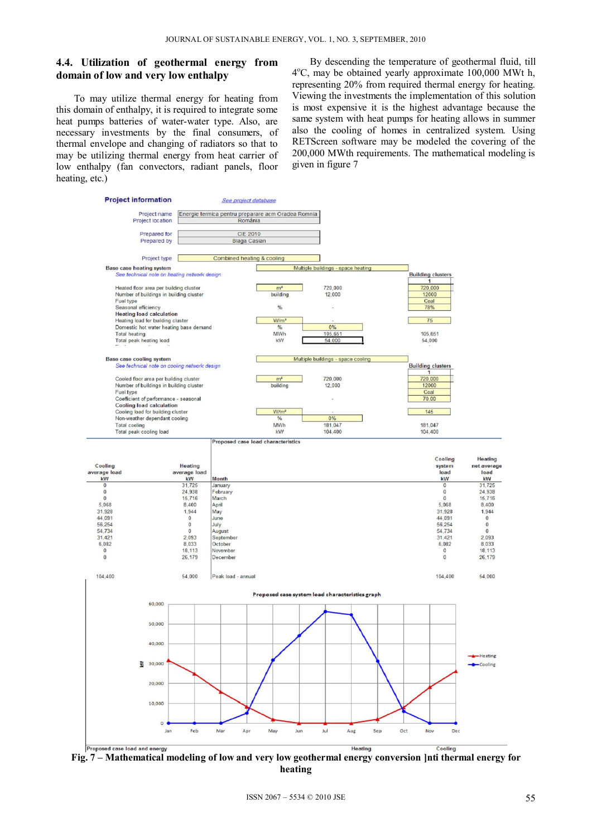## **4.4. Utilization of geothermal energy from domain of low and very low enthalpy**

To may utilize thermal energy for heating from this domain of enthalpy, it is required to integrate some heat pumps batteries of water-water type. Also, are necessary investments by the final consumers, of thermal envelope and changing of radiators so that to may be utilizing thermal energy from heat carrier of low enthalpy (fan convectors, radiant panels, floor heating, etc.)

By descending the temperature of geothermal fluid, till 4°C, may be obtained yearly approximate 100,000 MWt h, representing 20% from required thermal energy for heating. Viewing the investments the implementation of this solution is most expensive it is the highest advantage because the same system with heat pumps for heating allows in summer also the cooling of homes in centralized system. Using RETScreen software may be modeled the covering of the 200,000 MWth requirements. The mathematical modeling is given in figure 7



**Fig. 7 – Mathematical modeling of low and very low geothermal energy conversion ]nti thermal energy for heating**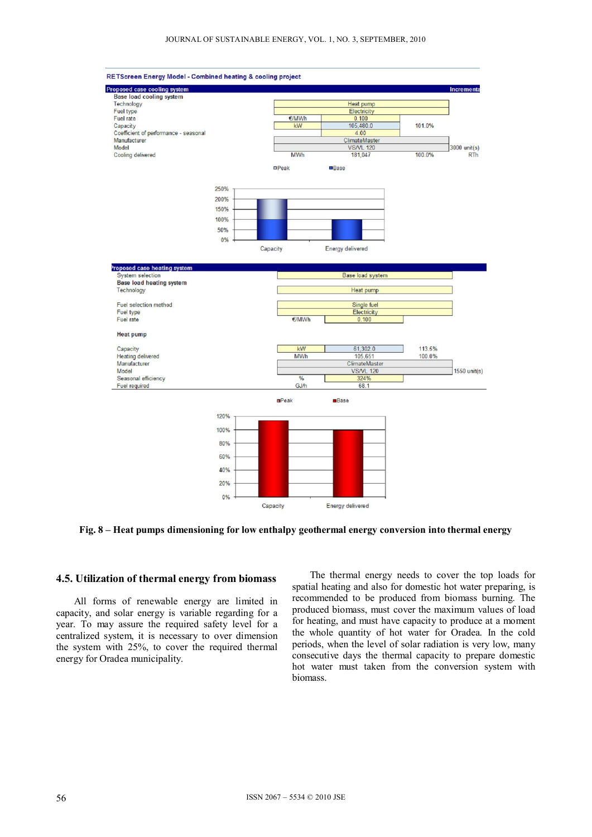

**Fig. 8 – Heat pumps dimensioning for low enthalpy geothermal energy conversion into thermal energy** 

#### **4.5. Utilization of thermal energy from biomass**

All forms of renewable energy are limited in capacity, and solar energy is variable regarding for a year. To may assure the required safety level for a centralized system, it is necessary to over dimension the system with 25%, to cover the required thermal energy for Oradea municipality.

The thermal energy needs to cover the top loads for spatial heating and also for domestic hot water preparing, is recommended to be produced from biomass burning. The produced biomass, must cover the maximum values of load for heating, and must have capacity to produce at a moment the whole quantity of hot water for Oradea. In the cold periods, when the level of solar radiation is very low, many consecutive days the thermal capacity to prepare domestic hot water must taken from the conversion system with biomass.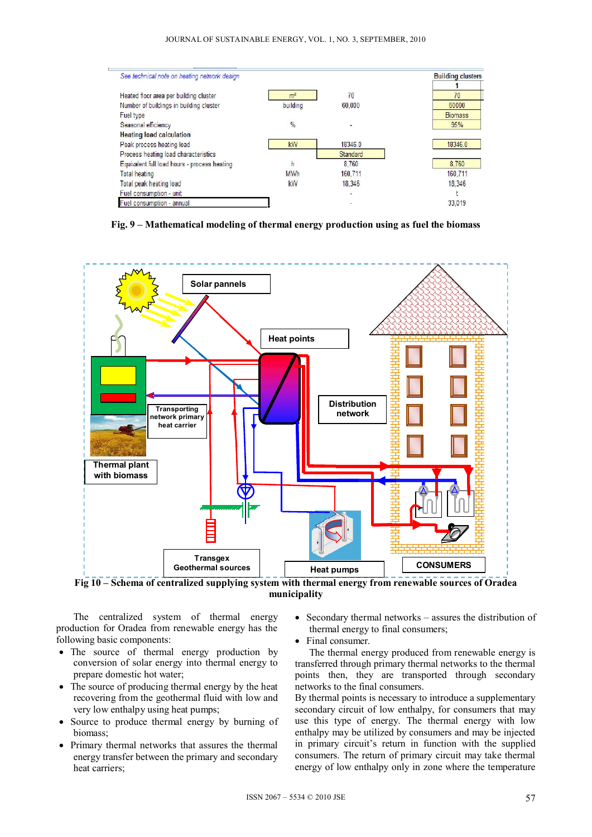

**Fig. 9 – Mathematical modeling of thermal energy production using as fuel the biomass** 



**Fig 10 – Schema of centralized supplying system with thermal energy from renewable sources of Oradea municipality** 

The centralized system of thermal energy production for Oradea from renewable energy has the following basic components:

- The source of thermal energy production by conversion of solar energy into thermal energy to prepare domestic hot water;
- The source of producing thermal energy by the heat recovering from the geothermal fluid with low and very low enthalpy using heat pumps;
- Source to produce thermal energy by burning of biomass;
- Primary thermal networks that assures the thermal energy transfer between the primary and secondary heat carriers;
- Secondary thermal networks assures the distribution of thermal energy to final consumers;
- Final consumer.

The thermal energy produced from renewable energy is transferred through primary thermal networks to the thermal points then, they are transported through secondary networks to the final consumers.

By thermal points is necessary to introduce a supplementary secondary circuit of low enthalpy, for consumers that may use this type of energy. The thermal energy with low enthalpy may be utilized by consumers and may be injected in primary circuit's return in function with the supplied consumers. The return of primary circuit may take thermal energy of low enthalpy only in zone where the temperature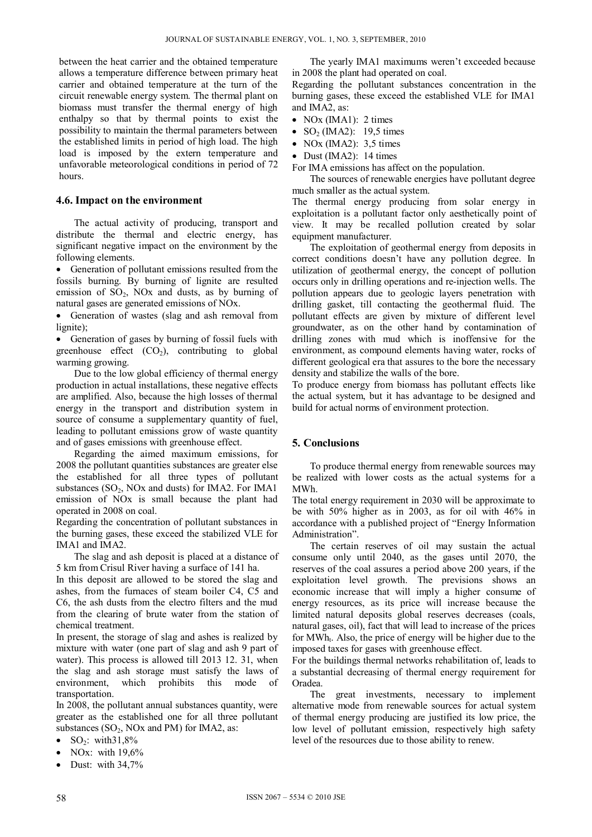between the heat carrier and the obtained temperature allows a temperature difference between primary heat carrier and obtained temperature at the turn of the circuit renewable energy system. The thermal plant on biomass must transfer the thermal energy of high enthalpy so that by thermal points to exist the possibility to maintain the thermal parameters between the established limits in period of high load. The high load is imposed by the extern temperature and unfavorable meteorological conditions in period of 72 hours.

#### **4.6. Impact on the environment**

The actual activity of producing, transport and distribute the thermal and electric energy, has significant negative impact on the environment by the following elements.

• Generation of pollutant emissions resulted from the fossils burning. By burning of lignite are resulted emission of  $SO<sub>2</sub>$ , NOx and dusts, as by burning of natural gases are generated emissions of NOx.

 Generation of wastes (slag and ash removal from lignite);

 Generation of gases by burning of fossil fuels with greenhouse effect  $(CO_2)$ , contributing to global warming growing.

Due to the low global efficiency of thermal energy production in actual installations, these negative effects are amplified. Also, because the high losses of thermal energy in the transport and distribution system in source of consume a supplementary quantity of fuel, leading to pollutant emissions grow of waste quantity and of gases emissions with greenhouse effect.

 Regarding the aimed maximum emissions, for 2008 the pollutant quantities substances are greater else the established for all three types of pollutant substances  $(SO<sub>2</sub>, NOx$  and dusts) for IMA2. For IMA1 emission of NOx is small because the plant had operated in 2008 on coal.

Regarding the concentration of pollutant substances in the burning gases, these exceed the stabilized VLE for IMA1 and IMA2.

The slag and ash deposit is placed at a distance of 5 km from Crisul River having a surface of 141 ha.

In this deposit are allowed to be stored the slag and ashes, from the furnaces of steam boiler C4, C5 and C6, the ash dusts from the electro filters and the mud from the clearing of brute water from the station of chemical treatment.

In present, the storage of slag and ashes is realized by mixture with water (one part of slag and ash 9 part of water). This process is allowed till 2013 12. 31, when the slag and ash storage must satisfy the laws of environment, which prohibits this mode of transportation.

In 2008, the pollutant annual substances quantity, were greater as the established one for all three pollutant substances  $(SO_2, NOx$  and PM) for IMA2, as:

- $SO_2$ : with  $31,8\%$
- NOx: with  $19,6\%$
- $\bullet$  Dust: with 34,7%

The yearly IMA1 maximums weren't exceeded because in 2008 the plant had operated on coal.

Regarding the pollutant substances concentration in the burning gases, these exceed the established VLE for IMA1 and IMA2, as:

- NOx (IMA1):  $2 \text{ times}$
- $\bullet$  SO<sub>2</sub> (IMA2): 19,5 times
- NOx (IMA2):  $3,5$  times
- Dust (IMA2): 14 times

For IMA emissions has affect on the population.

The sources of renewable energies have pollutant degree much smaller as the actual system.

The thermal energy producing from solar energy in exploitation is a pollutant factor only aesthetically point of view. It may be recalled pollution created by solar equipment manufacturer.

The exploitation of geothermal energy from deposits in correct conditions doesn't have any pollution degree. In utilization of geothermal energy, the concept of pollution occurs only in drilling operations and re-injection wells. The pollution appears due to geologic layers penetration with drilling gasket, till contacting the geothermal fluid. The pollutant effects are given by mixture of different level groundwater, as on the other hand by contamination of drilling zones with mud which is inoffensive for the environment, as compound elements having water, rocks of different geological era that assures to the bore the necessary density and stabilize the walls of the bore.

To produce energy from biomass has pollutant effects like the actual system, but it has advantage to be designed and build for actual norms of environment protection.

### **5. Conclusions**

To produce thermal energy from renewable sources may be realized with lower costs as the actual systems for a MWh.

The total energy requirement in 2030 will be approximate to be with 50% higher as in 2003, as for oil with 46% in accordance with a published project of "Energy Information Administration".

The certain reserves of oil may sustain the actual consume only until 2040, as the gases until 2070, the reserves of the coal assures a period above 200 years, if the exploitation level growth. The previsions shows an economic increase that will imply a higher consume of energy resources, as its price will increase because the limited natural deposits global reserves decreases (coals, natural gases, oil), fact that will lead to increase of the prices for  $MWh_t$ . Also, the price of energy will be higher due to the imposed taxes for gases with greenhouse effect.

For the buildings thermal networks rehabilitation of, leads to a substantial decreasing of thermal energy requirement for Oradea.

The great investments, necessary to implement alternative mode from renewable sources for actual system of thermal energy producing are justified its low price, the low level of pollutant emission, respectively high safety level of the resources due to those ability to renew.